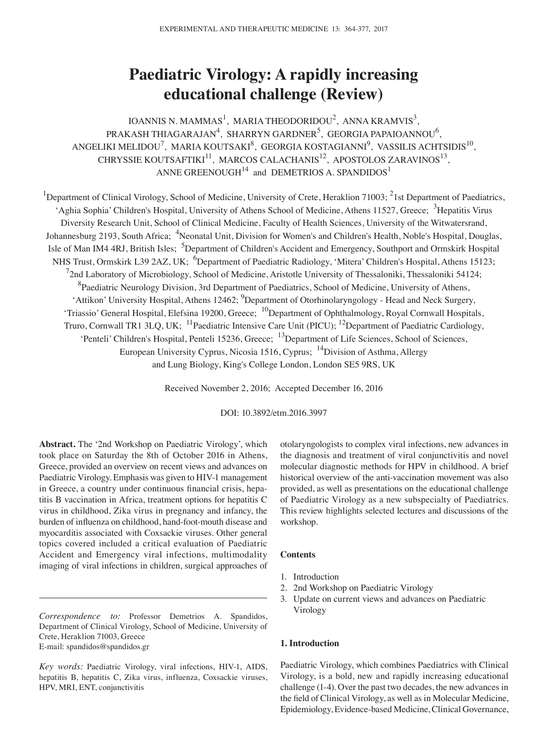# **Paediatric Virology: A rapidly increasing educational challenge (Review)**

IOANNIS N. MAMMAS<sup>1</sup>, MARIA THEODORIDOU<sup>2</sup>, ANNA KRAMVIS<sup>3</sup>, PRAKASH THIAGARAJAN<sup>4</sup>, SHARRYN GARDNER<sup>5</sup>, GEORGIA PAPAIOANNOU<sup>6</sup>, ANGELIKI MELIDOU<sup>7</sup>, MARIA KOUTSAKI $^8$ , GEORGIA KOSTAGIANNI $^9$ , VASSILIS ACHTSIDIS $^{10}$ , CHRYSSIE KOUTSAFTIKI<sup>11</sup>, MARCOS CALACHANIS<sup>12</sup>, APOSTOLOS ZARAVINOS<sup>13</sup>, ANNE GREENOUGH $^{14}$  and DEMETRIOS A. SPANDIDOS<sup>1</sup>

<sup>1</sup>Department of Clinical Virology, School of Medicine, University of Crete, Heraklion 71003; <sup>2</sup>1st Department of Paediatrics, 'Aghia Sophia' Children's Hospital, University of Athens School of Medicine, Athens 11527, Greece; <sup>3</sup>Hepatitis Virus Diversity Research Unit, School of Clinical Medicine, Faculty of Health Sciences, University of the Witwatersrand, Johannesburg 2193, South Africa; <sup>4</sup>Neonatal Unit, Division for Women's and Children's Health, Noble's Hospital, Douglas, Isle of Man IM4 4RJ, British Isles; <sup>5</sup>Department of Children's Accident and Emergency, Southport and Ormskirk Hospital NHS Trust, Ormskirk L39 2AZ, UK; <sup>6</sup>Department of Paediatric Radiology, 'Mitera' Children's Hospital, Athens 15123;  $^{7}$ 2nd Laboratory of Microbiology, School of Medicine, Aristotle University of Thessaloniki, Thessaloniki 54124; <sup>8</sup>Paediatric Neurology Division, 3rd Department of Paediatrics, School of Medicine, University of Athens, 'Attikon' University Hospital, Athens 12462; <sup>9</sup>Department of Otorhinolaryngology - Head and Neck Surgery, 'Triassio' General Hospital, Elefsina 19200, Greece; <sup>10</sup>Department of Ophthalmology, Royal Cornwall Hospitals, Truro, Cornwall TR1 3LQ, UK; <sup>11</sup>Paediatric Intensive Care Unit (PICU); <sup>12</sup>Department of Paediatric Cardiology, 'Penteli' Children's Hospital, Penteli 15236, Greece; <sup>13</sup>Department of Life Sciences, School of Sciences, European University Cyprus, Nicosia 1516, Cyprus; <sup>14</sup>Division of Asthma, Allergy and Lung Biology, King's College London, London SE5 9RS, UK

Received November 2, 2016; Accepted December 16, 2016

DOI: 10.3892/etm.2016.3997

**Abstract.** The '2nd Workshop on Paediatric Virology', which took place on Saturday the 8th of October 2016 in Athens, Greece, provided an overview on recent views and advances on Paediatric Virology. Emphasis was given to HIV-1 management in Greece, a country under continuous financial crisis, hepatitis B vaccination in Africa, treatment options for hepatitis C virus in childhood, Zika virus in pregnancy and infancy, the burden of influenza on childhood, hand‑foot‑mouth disease and myocarditis associated with Coxsackie viruses. Other general topics covered included a critical evaluation of Paediatric Accident and Emergency viral infections, multimodality imaging of viral infections in children, surgical approaches of

*Correspondence to:* Professor Demetrios A. Spandidos, Department of Clinical Virology, School of Medicine, University of Crete, Heraklion 71003, Greece E-mail: spandidos@spandidos.gr

otolaryngologists to complex viral infections, new advances in the diagnosis and treatment of viral conjunctivitis and novel molecular diagnostic methods for HPV in childhood. A brief historical overview of the anti-vaccination movement was also provided, as well as presentations on the educational challenge of Paediatric Virology as a new subspecialty of Paediatrics. This review highlights selected lectures and discussions of the workshop.

## **Contents**

- 1. Introduction
- 2. 2nd Workshop on Paediatric Virology
- 3. Update on current views and advances on Paediatric Virology

## **1. Introduction**

Paediatric Virology, which combines Paediatrics with Clinical Virology, is a bold, new and rapidly increasing educational challenge (1-4). Over the past two decades, the new advances in the field of Clinical Virology, as well as in Molecular Medicine, Epidemiology, Evidence-based Medicine, Clinical Governance,

*Key words:* Paediatric Virology, viral infections, HIV-1, AIDS, hepatitis B, hepatitis C, Zika virus, influenza, Coxsackie viruses, HPV, MRI, ENT, conjunctivitis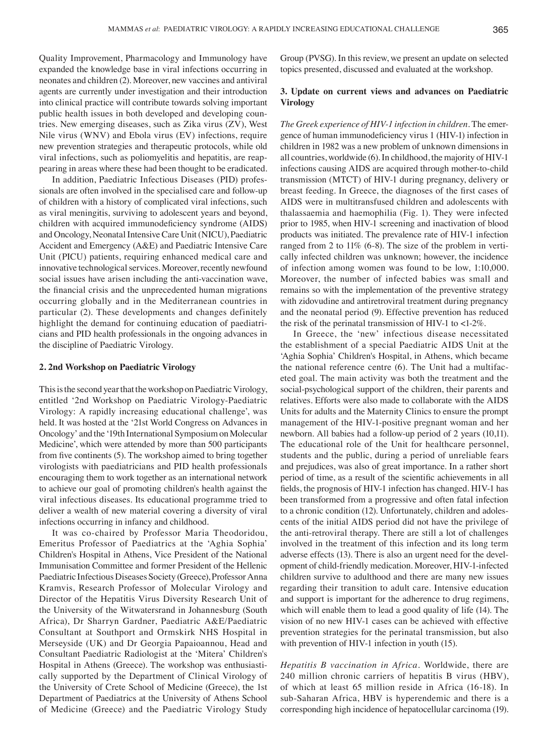Quality Improvement, Pharmacology and Immunology have expanded the knowledge base in viral infections occurring in neonates and children (2). Moreover, new vaccines and antiviral agents are currently under investigation and their introduction into clinical practice will contribute towards solving important public health issues in both developed and developing countries. New emerging diseases, such as Zika virus (ZV), West Nile virus (WNV) and Ebola virus (EV) infections, require new prevention strategies and therapeutic protocols, while old viral infections, such as poliomyelitis and hepatitis, are reappearing in areas where these had been thought to be eradicated.

In addition, Paediatric Infectious Diseases (PID) professionals are often involved in the specialised care and follow-up of children with a history of complicated viral infections, such as viral meningitis, surviving to adolescent years and beyond, children with acquired immunodeficiency syndrome (AIDS) and Oncology, Neonatal Intensive Care Unit(NICU), Paediatric Accident and Emergency (A&E) and Paediatric Intensive Care Unit (PICU) patients, requiring enhanced medical care and innovative technological services. Moreover, recently newfound social issues have arisen including the anti-vaccination wave, the financial crisis and the unprecedented human migrations occurring globally and in the Mediterranean countries in particular (2). These developments and changes definitely highlight the demand for continuing education of paediatricians and PID health professionals in the ongoing advances in the discipline of Paediatric Virology.

#### **2. 2nd Workshop on Paediatric Virology**

This is the second year that the workshop on Paediatric Virology, entitled '2nd Workshop on Paediatric Virology-Paediatric Virology: A rapidly increasing educational challenge', was held. It was hosted at the '21st World Congress on Advances in Oncology' and the '19th International Symposium on Molecular Medicine', which were attended by more than 500 participants from five continents (5). The workshop aimed to bring together virologists with paediatricians and PID health professionals encouraging them to work together as an international network to achieve our goal of promoting children's health against the viral infectious diseases. Its educational programme tried to deliver a wealth of new material covering a diversity of viral infections occurring in infancy and childhood.

It was co-chaired by Professor Maria Theodoridou, Emeritus Professor of Paediatrics at the 'Aghia Sophia' Children's Hospital in Athens, Vice President of the National Immunisation Committee and former President of the Hellenic Paediatric Infectious Diseases Society (Greece), Professor Anna Kramvis, Research Professor of Molecular Virology and Director of the Hepatitis Virus Diversity Research Unit of the University of the Witwatersrand in Johannesburg (South Africa), Dr Sharryn Gardner, Paediatric A&E/Paediatric Consultant at Southport and Ormskirk NHS Hospital in Merseyside (UK) and Dr Georgia Papaioannou, Head and Consultant Paediatric Radiologist at the 'Mitera' Children's Hospital in Athens (Greece). The workshop was enthusiastically supported by the Department of Clinical Virology of the University of Crete School of Medicine (Greece), the 1st Department of Paediatrics at the University of Athens School of Medicine (Greece) and the Paediatric Virology Study

Group (PVSG). In this review, we present an update on selected topics presented, discussed and evaluated at the workshop.

## **3. Update on current views and advances on Paediatric Virology**

*The Greek experience of HIV‑1 infection in children.* The emergence of human immunodeficiency virus 1 (HIV‑1) infection in children in 1982 was a new problem of unknown dimensions in all countries, worldwide (6). In childhood, the majority of HIV-1 infections causing AIDS are acquired through mother-to-child transmission (MTCT) of HIV-1 during pregnancy, delivery or breast feeding. In Greece, the diagnoses of the first cases of AIDS were in multitransfused children and adolescents with thalassaemia and haemophilia (Fig. 1). They were infected prior to 1985, when HIV-1 screening and inactivation of blood products was initiated. The prevalence rate of HIV-1 infection ranged from 2 to 11% (6-8). The size of the problem in vertically infected children was unknown; however, the incidence of infection among women was found to be low, 1:10,000. Moreover, the number of infected babies was small and remains so with the implementation of the preventive strategy with zidovudine and antiretroviral treatment during pregnancy and the neonatal period (9). Effective prevention has reduced the risk of the perinatal transmission of HIV-1 to <1-2%.

In Greece, the 'new' infectious disease necessitated the establishment of a special Paediatric AIDS Unit at the 'Aghia Sophia' Children's Hospital, in Athens, which became the national reference centre (6). The Unit had a multifaceted goal. The main activity was both the treatment and the social-psychological support of the children, their parents and relatives. Efforts were also made to collaborate with the AIDS Units for adults and the Maternity Clinics to ensure the prompt management of the HIV-1-positive pregnant woman and her newborn. All babies had a follow-up period of 2 years (10,11). The educational role of the Unit for healthcare personnel, students and the public, during a period of unreliable fears and prejudices, was also of great importance. In a rather short period of time, as a result of the scientific achievements in all fields, the prognosis of HIV‑1 infection has changed. HIV‑1 has been transformed from a progressive and often fatal infection to a chronic condition (12). Unfortunately, children and adolescents of the initial AIDS period did not have the privilege of the anti-retroviral therapy. There are still a lot of challenges involved in the treatment of this infection and its long term adverse effects (13). There is also an urgent need for the development of child-friendly medication. Moreover, HIV-1-infected children survive to adulthood and there are many new issues regarding their transition to adult care. Intensive education and support is important for the adherence to drug regimens, which will enable them to lead a good quality of life (14). The vision of no new HIV-1 cases can be achieved with effective prevention strategies for the perinatal transmission, but also with prevention of HIV-1 infection in youth (15).

*Hepatitis B vaccination in Africa.* Worldwide, there are 240 million chronic carriers of hepatitis B virus (HBV), of which at least 65 million reside in Africa (16-18). In sub-Saharan Africa, HBV is hyperendemic and there is a corresponding high incidence of hepatocellular carcinoma (19).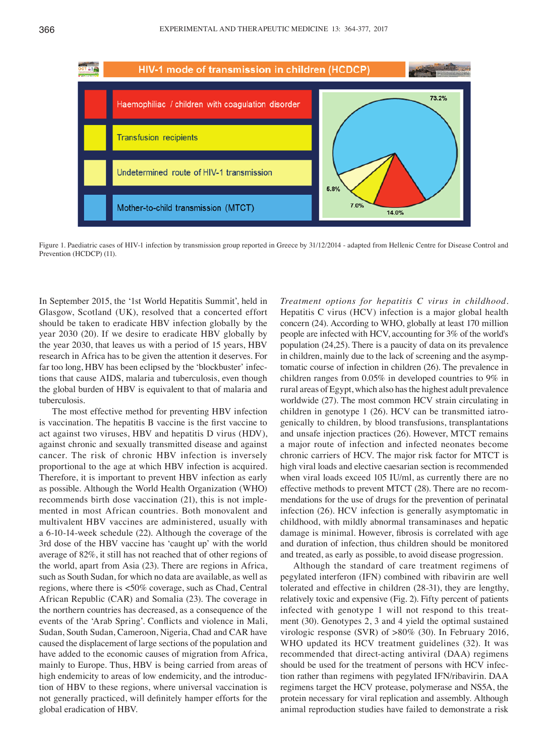

Figure 1. Paediatric cases of HIV-1 infection by transmission group reported in Greece by  $31/12/2014$  - adapted from Hellenic Centre for Disease Control and Prevention (HCDCP) (11).

In September 2015, the '1st World Hepatitis Summit', held in Glasgow, Scotland (UK), resolved that a concerted effort should be taken to eradicate HBV infection globally by the year 2030 (20). If we desire to eradicate HBV globally by the year 2030, that leaves us with a period of 15 years, HBV research in Africa has to be given the attention it deserves. For far too long, HBV has been eclipsed by the 'blockbuster' infections that cause AIDS, malaria and tuberculosis, even though the global burden of HBV is equivalent to that of malaria and tuberculosis.

The most effective method for preventing HBV infection is vaccination. The hepatitis B vaccine is the first vaccine to act against two viruses, HBV and hepatitis D virus (HDV), against chronic and sexually transmitted disease and against cancer. The risk of chronic HBV infection is inversely proportional to the age at which HBV infection is acquired. Therefore, it is important to prevent HBV infection as early as possible. Although the World Health Organization (WHO) recommends birth dose vaccination (21), this is not implemented in most African countries. Both monovalent and multivalent HBV vaccines are administered, usually with a 6-10-14-week schedule (22). Although the coverage of the 3rd dose of the HBV vaccine has 'caught up' with the world average of 82%, it still has not reached that of other regions of the world, apart from Asia (23). There are regions in Africa, such as South Sudan, for which no data are available, as well as regions, where there is <50% coverage, such as Chad, Central African Republic (CAR) and Somalia (23). The coverage in the northern countries has decreased, as a consequence of the events of the 'Arab Spring'. Conflicts and violence in Mali, Sudan, South Sudan, Cameroon, Nigeria, Chad and CAR have caused the displacement of large sections of the population and have added to the economic causes of migration from Africa, mainly to Europe. Thus, HBV is being carried from areas of high endemicity to areas of low endemicity, and the introduction of HBV to these regions, where universal vaccination is not generally practiced, will definitely hamper efforts for the global eradication of HBV.

*Treatment options for hepatitis C virus in childhood.*  Hepatitis C virus (HCV) infection is a major global health concern (24). According to WHO, globally at least 170 million people are infected with HCV, accounting for 3% of the world's population (24,25). There is a paucity of data on its prevalence in children, mainly due to the lack of screening and the asymptomatic course of infection in children (26). The prevalence in children ranges from 0.05% in developed countries to 9% in rural areas of Egypt, which also has the highest adult prevalence worldwide (27). The most common HCV strain circulating in children in genotype 1 (26). HCV can be transmitted iatrogenically to children, by blood transfusions, transplantations and unsafe injection practices (26). However, MTCT remains a major route of infection and infected neonates become chronic carriers of HCV. The major risk factor for MTCT is high viral loads and elective caesarian section is recommended when viral loads exceed 105 IU/ml, as currently there are no effective methods to prevent MTCT (28). There are no recommendations for the use of drugs for the prevention of perinatal infection (26). HCV infection is generally asymptomatic in childhood, with mildly abnormal transaminases and hepatic damage is minimal. However, fibrosis is correlated with age and duration of infection, thus children should be monitored and treated, as early as possible, to avoid disease progression.

Although the standard of care treatment regimens of pegylated interferon (IFN) combined with ribavirin are well tolerated and effective in children (28-31), they are lengthy, relatively toxic and expensive (Fig. 2). Fifty percent of patients infected with genotype 1 will not respond to this treatment (30). Genotypes 2, 3 and 4 yield the optimal sustained virologic response (SVR) of >80% (30). In February 2016, WHO updated its HCV treatment guidelines (32). It was recommended that direct-acting antiviral (DAA) regimens should be used for the treatment of persons with HCV infection rather than regimens with pegylated IFN/ribavirin. DAA regimens target the HCV protease, polymerase and NS5A, the protein necessary for viral replication and assembly. Although animal reproduction studies have failed to demonstrate a risk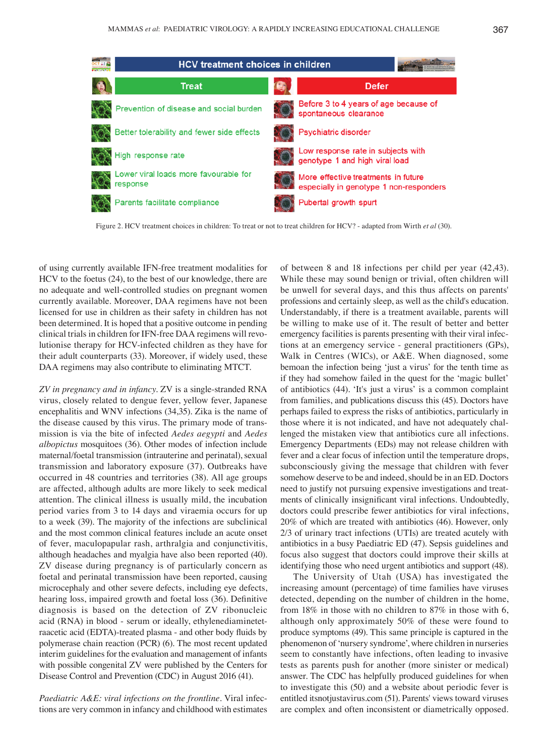

Figure 2. HCV treatment choices in children: To treat or not to treat children for HCV? - adapted from Wirth *et al* (30).

of using currently available IFN-free treatment modalities for HCV to the foetus (24), to the best of our knowledge, there are no adequate and well-controlled studies on pregnant women currently available. Moreover, DAA regimens have not been licensed for use in children as their safety in children has not been determined. It is hoped that a positive outcome in pending clinical trials in children for IFN-free DAA regimens will revolutionise therapy for HCV-infected children as they have for their adult counterparts (33). Moreover, if widely used, these DAA regimens may also contribute to eliminating MTCT.

*ZV in pregnancy and in infancy.* ZV is a single-stranded RNA virus, closely related to dengue fever, yellow fever, Japanese encephalitis and WNV infections (34,35). Zika is the name of the disease caused by this virus. The primary mode of transmission is via the bite of infected *Aedes aegypti* and *Aedes albopictus* mosquitoes (36). Other modes of infection include maternal/foetal transmission (intrauterine and perinatal), sexual transmission and laboratory exposure (37). Outbreaks have occurred in 48 countries and territories (38). All age groups are affected, although adults are more likely to seek medical attention. The clinical illness is usually mild, the incubation period varies from 3 to 14 days and viraemia occurs for up to a week (39). The majority of the infections are subclinical and the most common clinical features include an acute onset of fever, maculopapular rash, arthralgia and conjunctivitis, although headaches and myalgia have also been reported (40). ZV disease during pregnancy is of particularly concern as foetal and perinatal transmission have been reported, causing microcephaly and other severe defects, including eye defects, hearing loss, impaired growth and foetal loss (36). Definitive diagnosis is based on the detection of ZV ribonucleic acid (RNA) in blood - serum or ideally, ethylenediaminetetraacetic acid (EDTA)-treated plasma - and other body fluids by polymerase chain reaction (PCR) (6). The most recent updated interim guidelines for the evaluation and management of infants with possible congenital ZV were published by the Centers for Disease Control and Prevention (CDC) in August 2016 (41).

*Paediatric A&E: viral infections on the frontline.* Viral infections are very common in infancy and childhood with estimates of between 8 and 18 infections per child per year (42,43). While these may sound benign or trivial, often children will be unwell for several days, and this thus affects on parents' professions and certainly sleep, as well as the child's education. Understandably, if there is a treatment available, parents will be willing to make use of it. The result of better and better emergency facilities is parents presenting with their viral infections at an emergency service - general practitioners (GPs), Walk in Centres (WICs), or A&E. When diagnosed, some bemoan the infection being 'just a virus' for the tenth time as if they had somehow failed in the quest for the 'magic bullet' of antibiotics (44). 'It's just a virus' is a common complaint from families, and publications discuss this (45). Doctors have perhaps failed to express the risks of antibiotics, particularly in those where it is not indicated, and have not adequately challenged the mistaken view that antibiotics cure all infections. Emergency Departments (EDs) may not release children with fever and a clear focus of infection until the temperature drops, subconsciously giving the message that children with fever somehow deserve to be and indeed, should be in an ED. Doctors need to justify not pursuing expensive investigations and treatments of clinically insignificant viral infections. Undoubtedly, doctors could prescribe fewer antibiotics for viral infections, 20% of which are treated with antibiotics (46). However, only 2/3 of urinary tract infections (UTIs) are treated acutely with antibiotics in a busy Paediatric ED (47). Sepsis guidelines and focus also suggest that doctors could improve their skills at identifying those who need urgent antibiotics and support (48).

The University of Utah (USA) has investigated the increasing amount (percentage) of time families have viruses detected, depending on the number of children in the home, from 18% in those with no children to 87% in those with 6, although only approximately 50% of these were found to produce symptoms (49). This same principle is captured in the phenomenon of 'nursery syndrome', where children in nurseries seem to constantly have infections, often leading to invasive tests as parents push for another (more sinister or medical) answer. The CDC has helpfully produced guidelines for when to investigate this (50) and a website about periodic fever is entitled itsnotjustavirus.com (51). Parents' views toward viruses are complex and often inconsistent or diametrically opposed.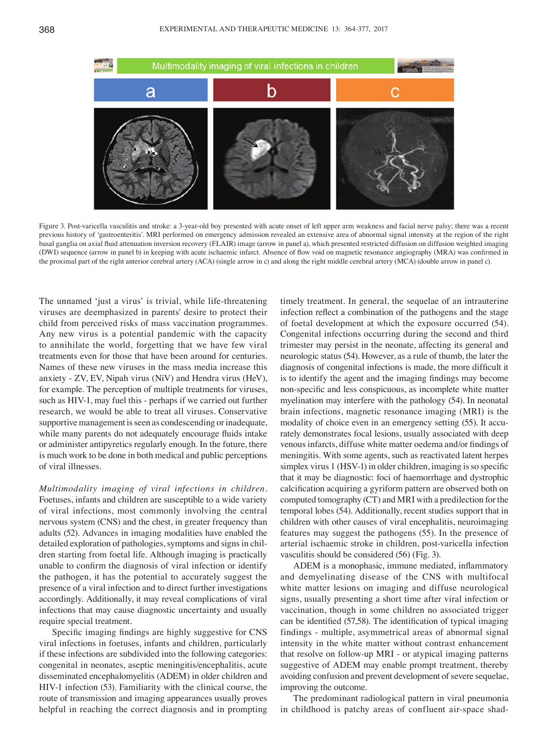

Figure 3. Post-varicella vasculitis and stroke: a 3-year-old boy presented with acute onset of left upper arm weakness and facial nerve palsy; there was a recent previous history of 'gastroenteritis'. MRI performed on emergency admission revealed an extensive area of abnormal signal intensity at the region of the right basal ganglia on axial fluid attenuation inversion recovery (FLAIR) image (arrow in panel a), which presented restricted diffusion on diffusion weighted imaging (DWI) sequence (arrow in panel b) in keeping with acute ischaemic infarct. Absence of flow void on magnetic resonance angiography (MRA) was confirmed in the proximal part of the right anterior cerebral artery (ACA) (single arrow in c) and along the right middle cerebral artery (MCA) (double arrow in panel c).

The unnamed 'just a virus' is trivial, while life-threatening viruses are deemphasized in parents' desire to protect their child from perceived risks of mass vaccination programmes. Any new virus is a potential pandemic with the capacity to annihilate the world, forgetting that we have few viral treatments even for those that have been around for centuries. Names of these new viruses in the mass media increase this anxiety - ZV, EV, Nipah virus (NiV) and Hendra virus (HeV), for example. The perception of multiple treatments for viruses, such as HIV-1, may fuel this - perhaps if we carried out further research, we would be able to treat all viruses. Conservative supportive management is seen as condescending or inadequate, while many parents do not adequately encourage fluids intake or administer antipyretics regularly enough. In the future, there is much work to be done in both medical and public perceptions of viral illnesses.

*Multimodality imaging of viral infections in children.*  Foetuses, infants and children are susceptible to a wide variety of viral infections, most commonly involving the central nervous system (CNS) and the chest, in greater frequency than adults (52). Advances in imaging modalities have enabled the detailed exploration of pathologies, symptoms and signs in children starting from foetal life. Although imaging is practically unable to confirm the diagnosis of viral infection or identify the pathogen, it has the potential to accurately suggest the presence of a viral infection and to direct further investigations accordingly. Additionally, it may reveal complications of viral infections that may cause diagnostic uncertainty and usually require special treatment.

Specific imaging findings are highly suggestive for CNS viral infections in foetuses, infants and children, particularly if these infections are subdivided into the following categories: congenital in neonates, aseptic meningitis/encephalitis, acute disseminated encephalomyelitis (ADEM) in older children and HIV-1 infection (53). Familiarity with the clinical course, the route of transmission and imaging appearances usually proves helpful in reaching the correct diagnosis and in prompting

timely treatment. In general, the sequelae of an intrauterine infection reflect a combination of the pathogens and the stage of foetal development at which the exposure occurred (54). Congenital infections occurring during the second and third trimester may persist in the neonate, affecting its general and neurologic status (54). However, as a rule of thumb, the later the diagnosis of congenital infections is made, the more difficult it is to identify the agent and the imaging findings may become non‑specific and less conspicuous, as incomplete white matter myelination may interfere with the pathology (54). In neonatal brain infections, magnetic resonance imaging (MRI) is the modality of choice even in an emergency setting (55). It accurately demonstrates focal lesions, usually associated with deep venous infarcts, diffuse white matter oedema and/or findings of meningitis. With some agents, such as reactivated latent herpes simplex virus 1 (HSV-1) in older children, imaging is so specific that it may be diagnostic: foci of haemorrhage and dystrophic calcification acquiring a gyriform pattern are observed both on computed tomography (CT) and MRI with a predilection for the temporal lobes (54). Additionally, recent studies support that in children with other causes of viral encephalitis, neuroimaging features may suggest the pathogens (55). In the presence of arterial ischaemic stroke in children, post-varicella infection vasculitis should be considered (56) (Fig. 3).

ADEM is a monophasic, immune mediated, inflammatory and demyelinating disease of the CNS with multifocal white matter lesions on imaging and diffuse neurological signs, usually presenting a short time after viral infection or vaccination, though in some children no associated trigger can be identified (57,58). The identification of typical imaging findings - multiple, asymmetrical areas of abnormal signal intensity in the white matter without contrast enhancement that resolve on follow-up MRI - or atypical imaging patterns suggestive of ADEM may enable prompt treatment, thereby avoiding confusion and prevent development of severe sequelae, improving the outcome.

The predominant radiological pattern in viral pneumonia in childhood is patchy areas of confluent air-space shad-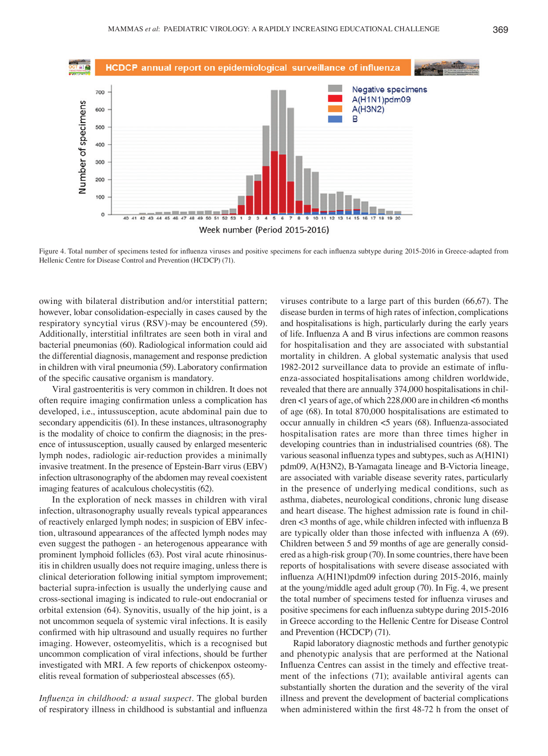

Figure 4. Total number of specimens tested for influenza viruses and positive specimens for each influenza subtype during 2015-2016 in Greece-adapted from Hellenic Centre for Disease Control and Prevention (HCDCP) (71).

owing with bilateral distribution and/or interstitial pattern; however, lobar consolidation-especially in cases caused by the respiratory syncytial virus (RSV)-may be encountered (59). Additionally, interstitial infiltrates are seen both in viral and bacterial pneumonias (60). Radiological information could aid the differential diagnosis, management and response prediction in children with viral pneumonia (59). Laboratory confirmation of the specific causative organism is mandatory.

Viral gastroenteritis is very common in children. It does not often require imaging confirmation unless a complication has developed, i.e., intussusception, acute abdominal pain due to secondary appendicitis (61). In these instances, ultrasonography is the modality of choice to confirm the diagnosis; in the presence of intussusception, usually caused by enlarged mesenteric lymph nodes, radiologic air-reduction provides a minimally invasive treatment. In the presence of Epstein-Barr virus (EBV) infection ultrasonography of the abdomen may reveal coexistent imaging features of acalculous cholecystitis (62).

In the exploration of neck masses in children with viral infection, ultrasonography usually reveals typical appearances of reactively enlarged lymph nodes; in suspicion of EBV infection, ultrasound appearances of the affected lymph nodes may even suggest the pathogen - an heterogenous appearance with prominent lymphoid follicles (63). Post viral acute rhinosinusitis in children usually does not require imaging, unless there is clinical deterioration following initial symptom improvement; bacterial supra-infection is usually the underlying cause and cross-sectional imaging is indicated to rule-out endocranial or orbital extension (64). Synovitis, usually of the hip joint, is a not uncommon sequela of systemic viral infections. It is easily confirmed with hip ultrasound and usually requires no further imaging. However, osteomyelitis, which is a recognised but uncommon complication of viral infections, should be further investigated with MRI. A few reports of chickenpox osteomyelitis reveal formation of subperiosteal abscesses (65).

*Influenza in childhood: a usual suspect.* The global burden of respiratory illness in childhood is substantial and influenza

viruses contribute to a large part of this burden (66,67). The disease burden in terms of high rates of infection, complications and hospitalisations is high, particularly during the early years of life. Influenza A and B virus infections are common reasons for hospitalisation and they are associated with substantial mortality in children. A global systematic analysis that used 1982‑2012 surveillance data to provide an estimate of influenza‑associated hospitalisations among children worldwide, revealed that there are annually 374,000 hospitalisations in children <1 years of age, of which 228,000 are in children <6 months of age (68). In total 870,000 hospitalisations are estimated to occur annually in children <5 years (68). Influenza‑associated hospitalisation rates are more than three times higher in developing countries than in industrialised countries (68). The various seasonal influenza types and subtypes, such as A(H1N1) pdm09, A(H3N2), B-Yamagata lineage and B-Victoria lineage, are associated with variable disease severity rates, particularly in the presence of underlying medical conditions, such as asthma, diabetes, neurological conditions, chronic lung disease and heart disease. The highest admission rate is found in children <3 months of age, while children infected with influenza B are typically older than those infected with influenza A (69). Children between 5 and 59 months of age are generally considered as a high-risk group (70). In some countries, there have been reports of hospitalisations with severe disease associated with influenza A(H1N1)pdm09 infection during 2015‑2016, mainly at the young/middle aged adult group (70). In Fig. 4, we present the total number of specimens tested for influenza viruses and positive specimens for each influenza subtype during 2015‑2016 in Greece according to the Hellenic Centre for Disease Control and Prevention (HCDCP) (71).

Rapid laboratory diagnostic methods and further genotypic and phenotypic analysis that are performed at the National Influenza Centres can assist in the timely and effective treatment of the infections (71); available antiviral agents can substantially shorten the duration and the severity of the viral illness and prevent the development of bacterial complications when administered within the first 48‑72 h from the onset of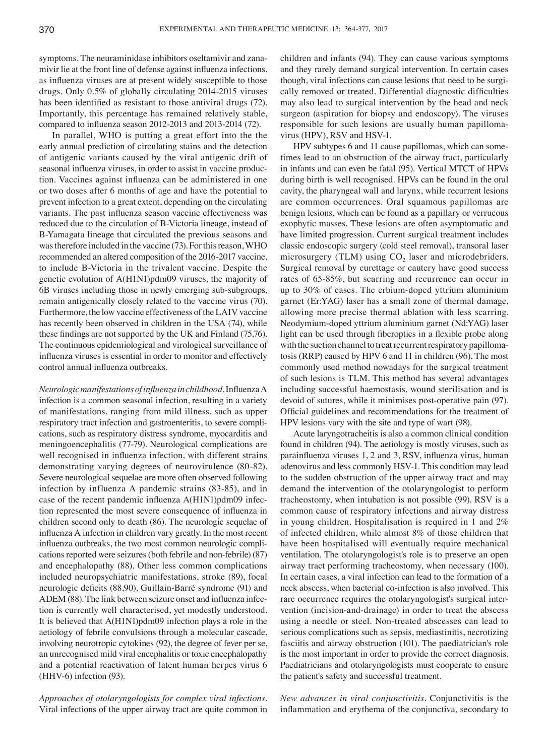symptoms. The neuraminidase inhibitors oseltamivir and zanamivir lie at the front line of defense against influenza infections, as influenza viruses are at present widely susceptible to those drugs. Only 0.5% of globally circulating 2014-2015 viruses has been identified as resistant to those antiviral drugs (72). Importantly, this percentage has remained relatively stable, compared to influenza season 2012‑2013 and 2013‑2014 (72).

In parallel, WHO is putting a great effort into the the early annual prediction of circulating stains and the detection of antigenic variants caused by the viral antigenic drift of seasonal influenza viruses, in order to assist in vaccine production. Vaccines against influenza can be administered in one or two doses after 6 months of age and have the potential to prevent infection to a great extent, depending on the circulating variants. The past influenza season vaccine effectiveness was reduced due to the circulation of B-Victoria lineage, instead of B-Yamagata lineage that circulated the previous seasons and was therefore included in the vaccine (73). For this reason, WHO recommended an altered composition of the 2016-2017 vaccine, to include B-Victoria in the trivalent vaccine. Despite the genetic evolution of A(H1N1)pdm09 viruses, the majority of 6B viruses including those in newly emerging sub-subgroups, remain antigenically closely related to the vaccine virus (70). Furthermore, the low vaccine effectiveness of the LAIV vaccine has recently been observed in children in the USA (74), while these findings are not supported by the UK and Finland (75,76). The continuous epidemiological and virological surveillance of influenza viruses is essential in order to monitor and effectively control annual influenza outbreaks.

*Neurologic manifestations of influenza in childhood.* InfluenzaA infection is a common seasonal infection, resulting in a variety of manifestations, ranging from mild illness, such as upper respiratory tract infection and gastroenteritis, to severe complications, such as respiratory distress syndrome, myocarditis and meningoencephalitis (77-79). Neurological complications are well recognised in influenza infection, with different strains demonstrating varying degrees of neurovirulence (80-82). Severe neurological sequelae are more often observed following infection by influenza A pandemic strains (83‑85), and in case of the recent pandemic influenza A(H1N1)pdm09 infection represented the most severe consequence of influenza in children second only to death (86). The neurologic sequelae of influenza A infection in children vary greatly. In the most recent influenza outbreaks, the two most common neurologic complications reported were seizures(both febrile and non‑febrile) (87) and encephalopathy (88). Other less common complications included neuropsychiatric manifestations, stroke (89), focal neurologic deficits (88,90), Guillain‑Barré syndrome (91) and ADEM (88). The link between seizure onset and influenza infection is currently well characterised, yet modestly understood. It is believed that A(H1N1)pdm09 infection plays a role in the aetiology of febrile convulsions through a molecular cascade, involving neurotropic cytokines (92), the degree of fever per se, an unrecognised mild viral encephalitis or toxic encephalopathy and a potential reactivation of latent human herpes virus 6 (HHV-6) infection (93).

*Approaches of otolaryngologists for complex viral infections.*  Viral infections of the upper airway tract are quite common in children and infants (94). They can cause various symptoms and they rarely demand surgical intervention. In certain cases though, viral infections can cause lesions that need to be surgically removed or treated. Differential diagnostic difficulties may also lead to surgical intervention by the head and neck surgeon (aspiration for biopsy and endoscopy). The viruses responsible for such lesions are usually human papillomavirus (HPV), RSV and HSV-1.

HPV subtypes 6 and 11 cause papillomas, which can sometimes lead to an obstruction of the airway tract, particularly in infants and can even be fatal (95). Vertical MTCT of HPVs during birth is well recognised. HPVs can be found in the oral cavity, the pharyngeal wall and larynx, while recurrent lesions are common occurrences. Oral squamous papillomas are benign lesions, which can be found as a papillary or verrucous exophytic masses. These lesions are often asymptomatic and have limited progression. Current surgical treatment includes classic endoscopic surgery (cold steel removal), transoral laser microsurgery (TLM) using  $CO<sub>2</sub>$  laser and microdebriders. Surgical removal by curettage or cautery have good success rates of 65-85%, but scarring and recurrence can occur in up to 30% of cases. The erbium-doped yttrium aluminium garnet (Er:YAG) laser has a small zone of thermal damage, allowing more precise thermal ablation with less scarring. Neodymium-doped yttrium aluminium garnet (Nd:YAG) laser light can be used through fiberoptics in a flexible probe along with the suction channel to treat recurrent respiratory papillomatosis (RRP) caused by HPV 6 and 11 in children (96). The most commonly used method nowadays for the surgical treatment of such lesions is TLM. This method has several advantages including successful haemostasis, wound sterilisation and is devoid of sutures, while it minimises post-operative pain (97). Official guidelines and recommendations for the treatment of HPV lesions vary with the site and type of wart (98).

Acute laryngotracheitis is also a common clinical condition found in children (94). The aetiology is mostly viruses, such as parainfluenza viruses 1, 2 and 3, RSV, influenza virus, human adenovirus and less commonly HSV-1. This condition may lead to the sudden obstruction of the upper airway tract and may demand the intervention of the otolaryngologist to perform tracheostomy, when intubation is not possible (99). RSV is a common cause of respiratory infections and airway distress in young children. Hospitalisation is required in 1 and 2% of infected children, while almost 8% of those children that have been hospitalised will eventually require mechanical ventilation. The otolaryngologist's role is to preserve an open airway tract performing tracheostomy, when necessary (100). In certain cases, a viral infection can lead to the formation of a neck abscess, when bacterial co-infection is also involved. This rare occurrence requires the otolaryngologist's surgical intervention (incision-and-drainage) in order to treat the abscess using a needle or steel. Non-treated abscesses can lead to serious complications such as sepsis, mediastinitis, necrotizing fasciitis and airway obstruction (101). The paediatrician's role is the most important in order to provide the correct diagnosis. Paediatricians and otolaryngologists must cooperate to ensure the patient's safety and successful treatment.

*New advances in viral conjunctivitis.* Conjunctivitis is the inflammation and erythema of the conjunctiva, secondary to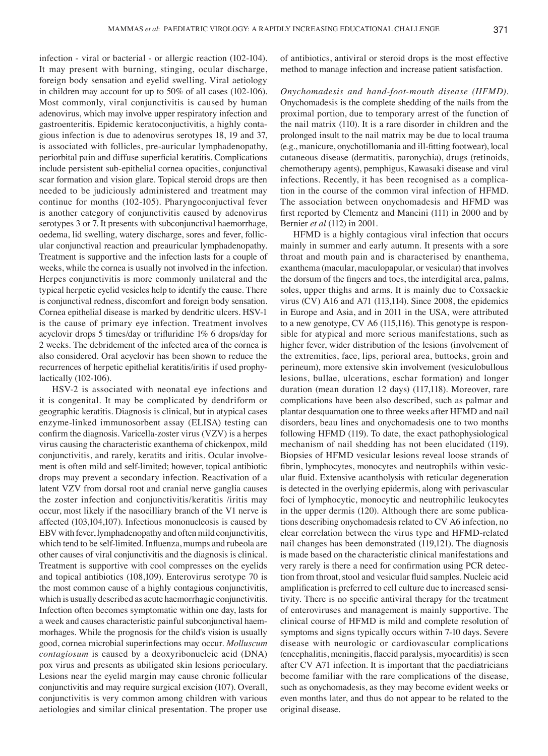infection - viral or bacterial - or allergic reaction (102-104). It may present with burning, stinging, ocular discharge, foreign body sensation and eyelid swelling. Viral aetiology in children may account for up to 50% of all cases (102-106). Most commonly, viral conjunctivitis is caused by human adenovirus, which may involve upper respiratory infection and gastroenteritis. Epidemic keratoconjuctivitis, a highly contagious infection is due to adenovirus serotypes 18, 19 and 37, is associated with follicles, pre-auricular lymphadenopathy, periorbital pain and diffuse superficial keratitis. Complications include persistent sub-epithelial cornea opacities, conjunctival scar formation and vision glare. Topical steroid drops are then needed to be judiciously administered and treatment may continue for months (102-105). Pharyngoconjuctival fever is another category of conjunctivitis caused by adenovirus serotypes 3 or 7. It presents with subconjunctival haemorrhage, oedema, lid swelling, watery discharge, sores and fever, follicular conjunctival reaction and preauricular lymphadenopathy. Treatment is supportive and the infection lasts for a couple of weeks, while the cornea is usually not involved in the infection. Herpes conjunctivitis is more commonly unilateral and the typical herpetic eyelid vesicles help to identify the cause. There is conjunctival redness, discomfort and foreign body sensation. Cornea epithelial disease is marked by dendritic ulcers. HSV-1 is the cause of primary eye infection. Treatment involves acyclovir drops 5 times/day or trifluridine 1% 6 drops/day for 2 weeks. The debridement of the infected area of the cornea is also considered. Oral acyclovir has been shown to reduce the recurrences of herpetic epithelial keratitis/iritis if used prophylactically (102-106).

HSV-2 is associated with neonatal eye infections and it is congenital. It may be complicated by dendriform or geographic keratitis. Diagnosis is clinical, but in atypical cases enzyme‑linked immunosorbent assay (ELISA) testing can confirm the diagnosis. Varicella‑zoster virus (VZV) is a herpes virus causing the characteristic exanthema of chickenpox, mild conjunctivitis, and rarely, keratits and iritis. Ocular involvement is often mild and self-limited; however, topical antibiotic drops may prevent a secondary infection. Reactivation of a latent VZV from dorsal root and cranial nerve ganglia causes the zoster infection and conjunctivitis/keratitis /iritis may occur, most likely if the nasocilliary branch of the V1 nerve is affected (103,104,107). Infectious mononucleosis is caused by EBV with fever, lymphadenopathy and often mild conjunctivitis, which tend to be self-limited. Influenza, mumps and rubeola are other causes of viral conjunctivitis and the diagnosis is clinical. Treatment is supportive with cool compresses on the eyelids and topical antibiotics (108,109). Enterovirus serotype 70 is the most common cause of a highly contagious conjunctivitis, which is usually described as acute haemorrhagic conjunctivitis. Infection often becomes symptomatic within one day, lasts for a week and causes characteristic painful subconjunctival haemmorhages. While the prognosis for the child's vision is usually good, cornea microbial superinfections may occur. *Molluscum contagiosum* is caused by a deoxyribonucleic acid (DNA) pox virus and presents as ubiligated skin lesions perioculary. Lesions near the eyelid margin may cause chronic follicular conjunctivitis and may require surgical excision (107). Overall, conjunctivitis is very common among children with various aetiologies and similar clinical presentation. The proper use of antibiotics, antiviral or steroid drops is the most effective method to manage infection and increase patient satisfaction.

*Onychomadesis and hand‑foot‑mouth disease (HFMD).*  Onychomadesis is the complete shedding of the nails from the proximal portion, due to temporary arrest of the function of the nail matrix (110). It is a rare disorder in children and the prolonged insult to the nail matrix may be due to local trauma (e.g., manicure, onychotillomania and ill‑fitting footwear), local cutaneous disease (dermatitis, paronychia), drugs (retinoids, chemotherapy agents), pemphigus, Kawasaki disease and viral infections. Recently, it has been recognised as a complication in the course of the common viral infection of HFMD. The association between onychomadesis and HFMD was first reported by Clementz and Mancini (111) in 2000 and by Bernier *et al* (112) in 2001.

HFMD is a highly contagious viral infection that occurs mainly in summer and early autumn. It presents with a sore throat and mouth pain and is characterised by enanthema, exanthema (macular, maculopapular, or vesicular) that involves the dorsum of the fingers and toes, the interdigital area, palms, soles, upper thighs and arms. It is mainly due to Coxsackie virus (CV) A16 and A71 (113,114). Since 2008, the epidemics in Europe and Asia, and in 2011 in the USA, were attributed to a new genotype, CV A6 (115,116). This genotype is responsible for atypical and more serious manifestations, such as higher fever, wider distribution of the lesions (involvement of the extremities, face, lips, perioral area, buttocks, groin and perineum), more extensive skin involvement (vesiculobullous lesions, bullae, ulcerations, eschar formation) and longer duration (mean duration 12 days) (117,118). Moreover, rare complications have been also described, such as palmar and plantar desquamation one to three weeks after HFMD and nail disorders, beau lines and onychomadesis one to two months following HFMD (119). To date, the exact pathophysiological mechanism of nail shedding has not been elucidated (119). Biopsies of HFMD vesicular lesions reveal loose strands of fibrin, lymphocytes, monocytes and neutrophils within vesicular fluid. Extensive acantholysis with reticular degeneration is detected in the overlying epidermis, along with perivascular foci of lymphocytic, monocytic and neutrophilic leukocytes in the upper dermis (120). Although there are some publications describing onychomadesis related to CV A6 infection, no clear correlation between the virus type and HFMD-related nail changes has been demonstrated (119,121). The diagnosis is made based on the characteristic clinical manifestations and very rarely is there a need for confirmation using PCR detection from throat, stool and vesicular fluid samples. Nucleic acid amplification is preferred to cell culture due to increased sensitivity. There is no specific antiviral therapy for the treatment of enteroviruses and management is mainly supportive. The clinical course of HFMD is mild and complete resolution of symptoms and signs typically occurs within 7-10 days. Severe disease with neurologic or cardiovascular complications (encephalitis, meningitis, flaccid paralysis, myocarditis) is seen after CV A71 infection. It is important that the paediatricians become familiar with the rare complications of the disease, such as onychomadesis, as they may become evident weeks or even months later, and thus do not appear to be related to the original disease.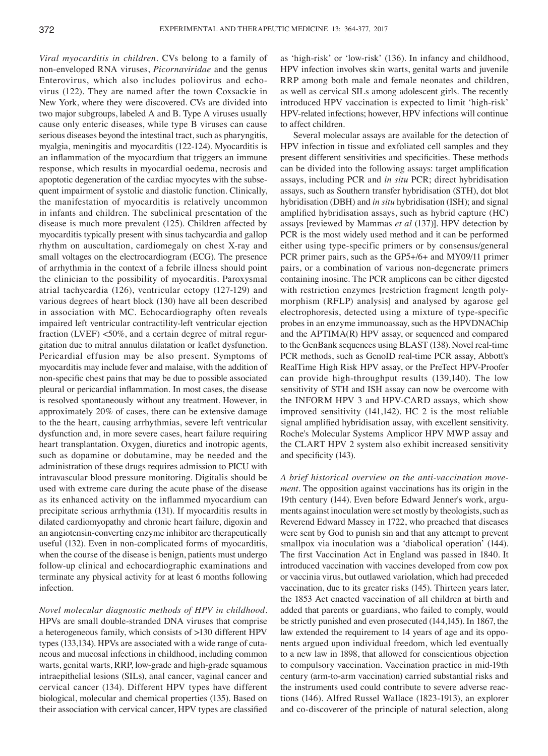*Viral myocarditis in children.* CVs belong to a family of non-enveloped RNA viruses, *Picornaviridae* and the genus Enterovirus, which also includes poliovirus and echovirus (122). They are named after the town Coxsackie in New York, where they were discovered. CVs are divided into two major subgroups, labeled A and B. Type A viruses usually cause only enteric diseases, while type B viruses can cause serious diseases beyond the intestinal tract, such as pharyngitis, myalgia, meningitis and myocarditis (122-124). Myocarditis is an inflammation of the myocardium that triggers an immune response, which results in myocardial oedema, necrosis and apoptotic degeneration of the cardiac myocytes with the subsequent impairment of systolic and diastolic function. Clinically, the manifestation of myocarditis is relatively uncommon in infants and children. The subclinical presentation of the disease is much more prevalent (125). Children affected by myocarditis typically present with sinus tachycardia and gallop rhythm on auscultation, cardiomegaly on chest X-ray and small voltages on the electrocardiogram (ECG). The presence of arrhythmia in the context of a febrile illness should point the clinician to the possibility of myocarditis. Paroxysmal atrial tachycardia (126), ventricular ectopy (127-129) and various degrees of heart block (130) have all been described in association with MC. Echocardiography often reveals impaired left ventricular contractility-left ventricular ejection fraction (LVEF) <50%, and a certain degree of mitral regurgitation due to mitral annulus dilatation or leaflet dysfunction. Pericardial effusion may be also present. Symptoms of myocarditis may include fever and malaise, with the addition of non‑specific chest pains that may be due to possible associated pleural or pericardial inflammation. In most cases, the disease is resolved spontaneously without any treatment. However, in approximately 20% of cases, there can be extensive damage to the the heart, causing arrhythmias, severe left ventricular dysfunction and, in more severe cases, heart failure requiring heart transplantation. Oxygen, diuretics and inotropic agents, such as dopamine or dobutamine, may be needed and the administration of these drugs requires admission to PICU with intravascular blood pressure monitoring. Digitalis should be used with extreme care during the acute phase of the disease as its enhanced activity on the inflammed myocardium can precipitate serious arrhythmia (131). If myocarditis results in dilated cardiomyopathy and chronic heart failure, digoxin and an angiotensin‑converting enzyme inhibitor are therapeutically useful (132). Even in non-complicated forms of myocarditis, when the course of the disease is benign, patients must undergo follow-up clinical and echocardiographic examinations and terminate any physical activity for at least 6 months following infection.

*Novel molecular diagnostic methods of HPV in childhood.*  HPVs are small double-stranded DNA viruses that comprise a heterogeneous family, which consists of >130 different HPV types (133,134). HPVs are associated with a wide range of cutaneous and mucosal infections in childhood, including common warts, genital warts, RRP, low-grade and high-grade squamous intraepithelial lesions (SILs), anal cancer, vaginal cancer and cervical cancer (134). Different HPV types have different biological, molecular and chemical properties (135). Based on their association with cervical cancer, HPV types are classified as 'high-risk' or 'low-risk' (136). In infancy and childhood, HPV infection involves skin warts, genital warts and juvenile RRP among both male and female neonates and children, as well as cervical SILs among adolescent girls. The recently introduced HPV vaccination is expected to limit 'high-risk' HPV-related infections; however, HPV infections will continue to affect children.

Several molecular assays are available for the detection of HPV infection in tissue and exfoliated cell samples and they present different sensitivities and specificities. These methods can be divided into the following assays: target amplification assays, including PCR and *in situ* PCR; direct hybridisation assays, such as Southern transfer hybridisation (STH), dot blot hybridisation (DBH) and *in situ* hybridisation (ISH); and signal amplified hybridisation assays, such as hybrid capture (HC) assays [reviewed by Mammas *et al* (137)]. HPV detection by PCR is the most widely used method and it can be performed either using type-specific primers or by consensus/general PCR primer pairs, such as the GP5+/6+ and MY09/11 primer pairs, or a combination of various non-degenerate primers containing inosine. The PCR amplicons can be either digested with restriction enzymes [restriction fragment length polymorphism (RFLP) analysis] and analysed by agarose gel electrophoresis, detected using a mixture of type-specific probes in an enzyme immunoassay, such as the HPVDNAChip and the APTIMA(R) HPV assay, or sequenced and compared to the GenBank sequences using BLAST (138). Novel real-time PCR methods, such as GenoID real-time PCR assay, Abbott's RealTime High Risk HPV assay, or the PreTect HPV-Proofer can provide high-throughput results (139,140). The low sensitivity of STH and ISH assay can now be overcome with the INFORM HPV 3 and HPV-CARD assays, which show improved sensitivity (141,142). HC 2 is the most reliable signal amplified hybridisation assay, with excellent sensitivity. Roche's Molecular Systems Amplicor HPV MWP assay and the CLART HPV 2 system also exhibit increased sensitivity and specificity (143).

*A brief historical overview on the anti‑vaccination move‑ ment.* The opposition against vaccinations has its origin in the 19th century (144). Even before Edward Jenner's work, arguments against inoculation were set mostly by theologists, such as Reverend Edward Massey in 1722, who preached that diseases were sent by God to punish sin and that any attempt to prevent smallpox via inoculation was a 'diabolical operation' (144). The first Vaccination Act in England was passed in 1840. It introduced vaccination with vaccines developed from cow pox or vaccinia virus, but outlawed variolation, which had preceded vaccination, due to its greater risks (145). Thirteen years later, the 1853 Act enacted vaccination of all children at birth and added that parents or guardians, who failed to comply, would be strictly punished and even prosecuted (144,145). In 1867, the law extended the requirement to 14 years of age and its opponents argued upon individual freedom, which led eventually to a new law in 1898, that allowed for conscientious objection to compulsory vaccination. Vaccination practice in mid-19th century (arm-to-arm vaccination) carried substantial risks and the instruments used could contribute to severe adverse reactions (146). Alfred Russel Wallace (1823-1913), an explorer and co-discoverer of the principle of natural selection, along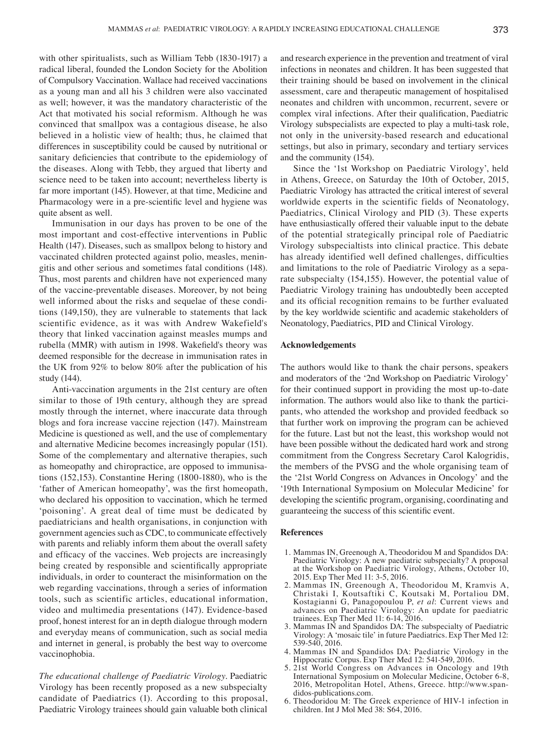with other spiritualists, such as William Tebb (1830-1917) a radical liberal, founded the London Society for the Abolition of Compulsory Vaccination. Wallace had received vaccinations as a young man and all his 3 children were also vaccinated as well; however, it was the mandatory characteristic of the Act that motivated his social reformism. Although he was convinced that smallpox was a contagious disease, he also believed in a holistic view of health; thus, he claimed that differences in susceptibility could be caused by nutritional or sanitary deficiencies that contribute to the epidemiology of the diseases. Along with Tebb, they argued that liberty and science need to be taken into account; nevertheless liberty is far more important (145). However, at that time, Medicine and Pharmacology were in a pre-scientific level and hygiene was quite absent as well.

Immunisation in our days has proven to be one of the most important and cost-effective interventions in Public Health (147). Diseases, such as smallpox belong to history and vaccinated children protected against polio, measles, meningitis and other serious and sometimes fatal conditions (148). Thus, most parents and children have not experienced many of the vaccine-preventable diseases. Moreover, by not being well informed about the risks and sequelae of these conditions (149,150), they are vulnerable to statements that lack scientific evidence, as it was with Andrew Wakefield's theory that linked vaccination against measles mumps and rubella (MMR) with autism in 1998. Wakefield's theory was deemed responsible for the decrease in immunisation rates in the UK from 92% to below 80% after the publication of his study (144).

Anti-vaccination arguments in the 21st century are often similar to those of 19th century, although they are spread mostly through the internet, where inaccurate data through blogs and fora increase vaccine rejection (147). Mainstream Medicine is questioned as well, and the use of complementary and alternative Medicine becomes increasingly popular (151). Some of the complementary and alternative therapies, such as homeopathy and chiropractice, are opposed to immunisations (152,153). Constantine Hering (1800-1880), who is the 'father of American homeopathy', was the first homeopath, who declared his opposition to vaccination, which he termed 'poisoning'. A great deal of time must be dedicated by paediatricians and health organisations, in conjunction with government agencies such as CDC, to communicate effectively with parents and reliably inform them about the overall safety and efficacy of the vaccines. Web projects are increasingly being created by responsible and scientifically appropriate individuals, in order to counteract the misinformation on the web regarding vaccinations, through a series of information tools, such as scientific articles, educational information, video and multimedia presentations (147). Evidence-based proof, honest interest for an in depth dialogue through modern and everyday means of communication, such as social media and internet in general, is probably the best way to overcome vaccinophobia.

*The educational challenge of Paediatric Virology.* Paediatric Virology has been recently proposed as a new subspecialty candidate of Paediatrics (1). According to this proposal, Paediatric Virology trainees should gain valuable both clinical and research experience in the prevention and treatment of viral infections in neonates and children. It has been suggested that their training should be based on involvement in the clinical assessment, care and therapeutic management of hospitalised neonates and children with uncommon, recurrent, severe or complex viral infections. After their qualification, Paediatric Virology subspecialists are expected to play a multi-task role, not only in the university-based research and educational settings, but also in primary, secondary and tertiary services and the community (154).

Since the '1st Workshop on Paediatric Virology', held in Athens, Greece, on Saturday the 10th of October, 2015, Paediatric Virology has attracted the critical interest of several worldwide experts in the scientific fields of Neonatology, Paediatrics, Clinical Virology and PID (3). These experts have enthusiastically offered their valuable input to the debate of the potential strategically principal role of Paediatric Virology subspecialtists into clinical practice. This debate has already identified well defined challenges, difficulties and limitations to the role of Paediatric Virology as a separate subspecialty (154,155). However, the potential value of Paediatric Virology training has undoubtedly been accepted and its official recognition remains to be further evaluated by the key worldwide scientific and academic stakeholders of Neonatology, Paediatrics, PID and Clinical Virology.

#### **Acknowledgements**

The authors would like to thank the chair persons, speakers and moderators of the '2nd Workshop on Paediatric Virology' for their continued support in providing the most up-to-date information. The authors would also like to thank the participants, who attended the workshop and provided feedback so that further work on improving the program can be achieved for the future. Last but not the least, this workshop would not have been possible without the dedicated hard work and strong commitment from the Congress Secretary Carol Kalogridis, the members of the PVSG and the whole organising team of the '21st World Congress on Advances in Oncology' and the '19th International Symposium on Molecular Medicine' for developing the scientific program, organising, coordinating and guaranteeing the success of this scientific event.

### **References**

- 1. Mammas IN, Greenough A, Theodoridou M and Spandidos DA: Paediatric Virology: A new paediatric subspecialty? A proposal at the Workshop on Paediatric Virology, Athens, October 10, 2015. Exp Ther Med 11: 3-5, 2016.
- 2. Mammas IN, Greenough A, Theodoridou M, Kramvis A, Christaki I, Koutsaftiki C, Koutsaki M, Portaliou DM, Kostagianni G, Panagopoulou P, *et al*: Current views and advances on Paediatric Virology: An update for paediatric trainees. Exp Ther Med 11: 6-14, 2016.
- 3. Mammas IN and Spandidos DA: The subspecialty of Paediatric Virology: A 'mosaic tile' in future Paediatrics. Exp Ther Med 12: 539-540, 2016.
- 4. Mammas IN and Spandidos DA: Paediatric Virology in the Hippocratic Corpus. Exp Ther Med 12: 541-549, 2016.
- 5. 21st World Congress on Advances in Oncology and 19th International Symposium on Molecular Medicine, October 6-8, 2016, Metropolitan Hotel, Athens, Greece. http://www.spandidos-publications.com.
- 6. Theodoridou M: The Greek experience of HIV-1 infection in children. Int J Mol Med 38: S64, 2016.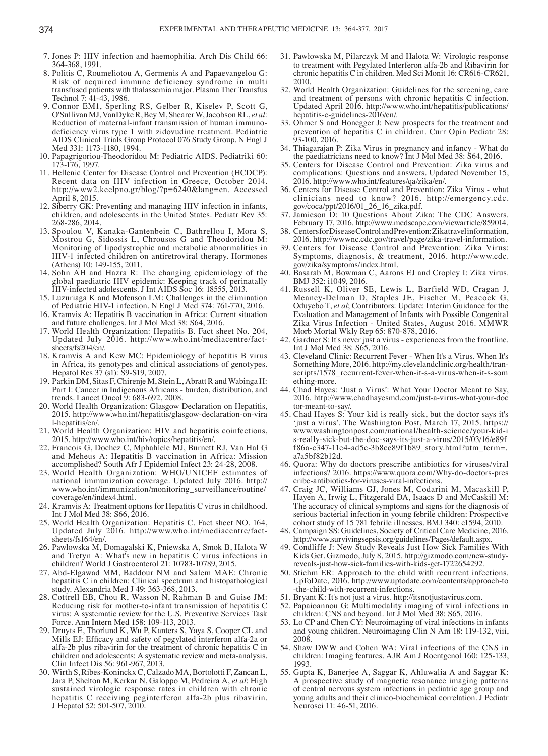- 7. Jones P: HIV infection and haemophilia. Arch Dis Child 66: 364-368, 1991.
- 8. Politis C, Roumeliotou A, Germenis A and Papaevangelou G: Risk of acquired immune deficiency syndrome in multi transfused patients with thalassemia major. Plasma Ther Transfus Technol 7: 41-43, 1986.
- 9. Connor EM1, Sperling RS, Gelber R, Kiselev P, Scott G, O'SullivanMJ, VanDyke R, Bey M, Shearer W, JacobsonRL, *et al*: Reduction of maternal-infant transmission of human immunodeficiency virus type 1 with zidovudine treatment. Pediatric AIDS Clinical Trials Group Protocol 076 Study Group. N Engl J Med 331: 1173-1180, 1994.
- 10. Papagrigoriou-Theodoridou M: Pediatric AIDS. Pediatriki 60: 173-176, 1997.
- 11. Hellenic Center for Disease Control and Prevention (HCDCP): Recent data on HIV infection in Greece, October 2014. http://www2.keelpno.gr/blog/?p=6240&lang=en. Accessed April 8, 2015.
- 12. Siberry GK: Preventing and managing HIV infection in infants, children, and adolescents in the United States. Pediatr Rev 35: 268-286, 2014.
- 13. Spoulou V, Kanaka-Gantenbein C, Bathrellou I, Mora S, Mostrou G, Sidossis L, Chrousos G and Theodoridou M: Monitoring of lipodystrophic and metabolic abnormalities in HIV-1 infected children on antiretroviral therapy. Hormones (Athens) 10: 149-155, 2011.
- 14. Sohn AH and Hazra R: The changing epidemiology of the global paediatric HIV epidemic: Keeping track of perinatally HIV-infected adolescents. J Int AIDS Soc 16: 18555, 2013.
- 15. Luzuriaga K and Mofenson LM: Challenges in the elimination of Pediatric HIV-1 infection. N Engl J Med 374: 761-770, 2016.
- 16. Kramvis A: Hepatitis B vaccination in Africa: Current situation and future challenges. Int J Mol Med 38: S64, 2016.
- 17. World Health Organization: Hepatitis B. Fact sheet No. 204, Updated July 2016. http://www.who.int/mediacentre/factsheets/fs204/en/.
- 18. Kramvis A and Kew MC: Epidemiology of hepatitis B virus in Africa, its genotypes and clinical associations of genotypes. Hepatol Res 37 (s1): S9-S19, 2007.
- 19. Parkin DM, Sitas F, Chirenje M, Stein L, Abratt R and Wabinga H: Part I: Cancer in Indigenous Africans - burden, distribution, and trends. Lancet Oncol 9: 683-692, 2008.
- 20. World Health Organization: Glasgow Declaration on Hepatitis, 2015. http://www.who.int/hepatitis/glasgow-declaration-on-vira l-hepatitis/en/.
- 21. World Health Organization: HIV and hepatitis coinfections, 2015. http://www.who.int/hiv/topics/hepatitis/en/.
- 22. Francois G, Dochez C, Mphahlele MJ, Burnett RJ, Van Hal G and Meheus A: Hepatitis B vaccination in Africa: Mission accomplished? South Afr J Epidemiol Infect 23: 24-28, 2008.
- 23. World Health Organization: WHO/UNICEF estimates of national immunization coverage. Updated July 2016. http:// www.who.int/immunization/monitoring\_surveillance/routine/ coverage/en/index4.html.
- 24. Kramvis A: Treatment options for Hepatitis C virus in childhood. Int J Mol Med 38: S66, 2016.
- 25. World Health Organization: Hepatitis C. Fact sheet NO. 164, Updated July 2016. http://www.who.int/mediacentre/factsheets/fs164/en/.
- 26. Pawlowska M, Domagalski K, Pniewska A, Smok B, Halota W and Tretyn A: What's new in hepatitis C virus infections in children? World J Gastroenterol 21: 10783-10789, 2015.
- 27. Abd-Elgawad MM, Baddour NM and Salem MAE: Chronic hepatitis C in children: Clinical spectrum and histopathological study. Alexandria Med J 49: 363-368, 2013.
- 28. Cottrell EB, Chou R, Wasson N, Rahman B and Guise JM: Reducing risk for mother-to-infant transmission of hepatitis C virus: A systematic review for the U.S. Preventive Services Task Force. Ann Intern Med 158: 109-113, 2013.
- 29. Druyts E, Thorlund K, Wu P, Kanters S, Yaya S, Cooper CL and Mills EJ: Efficacy and safety of pegylated interferon alfa-2a or alfa-2b plus ribavirin for the treatment of chronic hepatitis C in children and adolescents: A systematic review and meta-analysis. Clin Infect Dis 56: 961-967, 2013.
- 30. Wirth S, Ribes‑Koninckx C, Calzado MA, Bortolotti F, Zancan L, Jara P, Shelton M, Kerkar N, Galoppo M, Pedreira A, *et al*: High sustained virologic response rates in children with chronic hepatitis C receiving peginterferon alfa-2b plus ribavirin. J Hepatol 52: 501-507, 2010.
- 31. Pawłowska M, Pilarczyk M and Halota W: Virologic response to treatment with Pegylated Interferon alfa-2b and Ribavirin for chronic hepatitis C in children. Med Sci Monit 16: CR616-CR621, 2010.
- 32. World Health Organization: Guidelines for the screening, care and treatment of persons with chronic hepatitis C infection. Updated April 2016. http://www.who.int/hepatitis/publications/ hepatitis-c-guidelines-2016/en/.
- 33. Ohmer S and Honegger J: New prospects for the treatment and prevention of hepatitis C in children. Curr Opin Pediatr 28: 93-100, 2016.
- 34. Thiagarajan P: Zika Virus in pregnancy and infancy What do the paediatricians need to know? Int J Mol Med 38: S64, 2016.
- 35. Centers for Disease Control and Prevention: Zika virus and complications: Questions and answers. Updated November 15, 2016. http://www.who.int/features/qa/zika/en/.
- 36. Centers for Disease Control and Prevention: Zika Virus what clinicians need to know? 2016. http://emergency.cdc. gov/coca/ppt/2016/01\_26\_16\_zika.pdf.
- 37. Jamieson D: 10 Questions About Zika: The CDC Answers. February 17, 2016. http://www.medscape.com/viewarticle/859014.
- 38. Centers for Disease Control and Prevention: Zika travel information, 2016. http://wwwnc.cdc.gov/travel/page/zika‑travel‑information.
- 39. Centers for Disease Control and Prevention: Zika Virus: Symptoms, diagnosis, & treatment, 2016. http://www.cdc. gov/zika/symptoms/index.html.
- 40. Basarab M, Bowman C, Aarons EJ and Cropley I: Zika virus. BMJ 352: i1049, 2016.
- 41. Russell K, Oliver SE, Lewis L, Barfield WD, Cragan J, Meaney-Delman D, Staples JE, Fischer M, Peacock G, Oduyebo T, *et al*; Contributors: Update: Interim Guidance for the Evaluation and Management of Infants with Possible Congenital Zika Virus Infection - United States, August 2016. MMWR Morb Mortal Wkly Rep 65: 870-878, 2016.
- 42. Gardner S: It's never just a virus experiences from the frontline. Int J Mol Med 38: S65, 2016.
- 43. Cleveland Clinic: Recurrent Fever When It's a Virus. When It's Something More, 2016. http://my.clevelandclinic.org/health/transcripts/1578\_recurrent-fever-when-it-s-a-virus-when-it-s-som ething-more.
- 44. Chad Hayes: 'Just a Virus': What Your Doctor Meant to Say, 2016. http://www.chadhayesmd.com/just-a-virus-what-your-doc tor-meant-to-say/.
- 45. Chad Hayes S: Your kid is really sick, but the doctor says it's 'just a virus'. The Washington Post, March 17, 2015. https:// www.washingtonpost.com/national/health-science/your-kid-i s-really-sick-but-the-doc-says-its-just-a-virus/2015/03/16/e89f f86a‑c347‑11e4‑ad5c‑3b8ce89f1b89\_story.html?utm\_term=. a7a5bf82b12d.
- 46. Quora: Why do doctors prescribe antibiotics for viruses/viral infections? 2016. https://www.quora.com/Why-do-doctors-pres cribe-antibiotics-for-viruses-viral-infections.
- 47. Craig JC, Williams GJ, Jones M, Codarini M, Macaskill P, Hayen A, Irwig L, Fitzgerald DA, Isaacs D and McCaskill M: The accuracy of clinical symptoms and signs for the diagnosis of serious bacterial infection in young febrile children: Prospective cohort study of 15 781 febrile illnesses. BMJ 340: c1594, 2010.
- 48. Campaign SS: Guidelines, Society of Critical Care Medicine, 2016. http://www.survivingsepsis.org/guidelines/Pages/default.aspx.
- 49. Condliffe J: New Study Reveals Just How Sick Families With Kids Get. Gizmodo, July 8, 2015. http://gizmodo.com/new-studyreveals-just-how-sick-families-with-kids-get-1722654292.
- 50. Stiehm ER: Approach to the child with recurrent infections. UpToDate, 2016. http://www.uptodate.com/contents/approach-to -the-child-with-recurrent-infections.
- 51. Bryant K: It's not just a virus. http://itsnotjustavirus.com.
- 52. Papaioannou G: Multimodality imaging of viral infections in children: CNS and beyond. Int J Mol Med 38: S65, 2016.
- 53. Lo CP and Chen CY: Neuroimaging of viral infections in infants and young children. Neuroimaging Clin N Am 18: 119-132, viii, 2008.
- 54. Shaw DWW and Cohen WA: Viral infections of the CNS in children: Imaging features. AJR Am J Roentgenol 160: 125-133, 1993.
- 55. Gupta K, Banerjee A, Saggar K, Ahluwalia A and Saggar K: A prospective study of magnetic resonance imaging patterns of central nervous system infections in pediatric age group and young adults and their clinico-biochemical correlation. J Pediatr Neurosci 11: 46-51, 2016.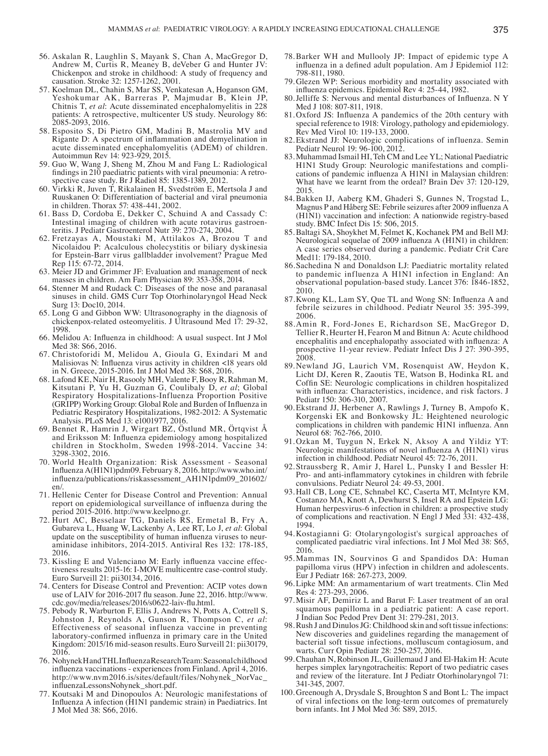- 56. Askalan R, Laughlin S, Mayank S, Chan A, MacGregor D, Andrew M, Curtis R, Meaney B, deVeber G and Hunter JV: Chickenpox and stroke in childhood: A study of frequency and causation. Stroke 32: 1257-1262, 2001.
- 57. Koelman DL, Chahin S, Mar SS, Venkatesan A, Hoganson GM, Yeshokumar AK, Barreras P, Majmudar B, Klein JP, Chitnis T, *et al*: Acute disseminated encephalomyelitis in 228 patients: A retrospective, multicenter US study. Neurology 86: 2085-2093, 2016.
- 58. Esposito S, Di Pietro GM, Madini B, Mastrolia MV and Rigante D: A spectrum of inflammation and demyelination in acute disseminated encephalomyelitis (ADEM) of children. Autoimmun Rev 14: 923-929, 2015.
- 59. Guo W, Wang J, Sheng M, Zhou M and Fang L: Radiological findings in 210 paediatric patients with viral pneumonia: A retrospective case study. Br J Radiol 85: 1385-1389, 2012.
- 60. Virkki R, Juven T, Rikalainen H, Svedström E, Mertsola J and Ruuskanen O: Differentiation of bacterial and viral pneumonia in children. Thorax 57: 438-441, 2002.
- 61. Bass D, Cordoba E, Dekker C, Schuind A and Cassady C: Intestinal imaging of children with acute rotavirus gastroenteritis. J Pediatr Gastroenterol Nutr 39: 270-274, 2004.
- 62. Fretzayas A, Moustaki M, Attilakos A, Brozou T and Nicolaidou P: Acalculous cholecystitis or biliary dyskinesia for Epstein-Barr virus gallbladder involvement? Prague Med Rep 115: 67-72, 2014.
- 63. Meier JD and Grimmer JF: Evaluation and management of neck masses in children. Am Fam Physician 89: 353-358, 2014.
- 64. Stenner M and Rudack C: Diseases of the nose and paranasal sinuses in child. GMS Curr Top Otorhinolaryngol Head Neck Surg 13: Doc10, 2014.
- 65. Long G and Gibbon WW: Ultrasonography in the diagnosis of chickenpox-related osteomyelitis. J Ultrasound Med 17: 29-32, 1998.
- 66. Melidou A: Influenza in childhood: A usual suspect. Int J Mol Med 38: S66, 2016.
- 67. Christoforidi M, Melidou A, Gioula G, Exindari M and Malisiovas N: Influenza virus activity in children <18 years old in N. Greece, 2015-2016. Int J Mol Med 38: S68, 2016.
- 68. Lafond KE, Nair H, Rasooly MH, Valente F, Booy R, Rahman M, Kitsutani P, Yu H, Guzman G, Coulibaly D, *et al*; Global Respiratory Hospitalizations‑Influenza Proportion Positive (GRIPP) Working Group: Global Role and Burden of Influenza in Pediatric Respiratory Hospitalizations, 1982‑2012: A Systematic Analysis. PLoS Med 13: e1001977, 2016.
- 69. Bennet R, Hamrin J, Wirgart BZ, Östlund MR, Örtqvist Å and Eriksson M: Influenza epidemiology among hospitalized children in Stockholm, Sweden 1998-2014. Vaccine 34: 3298-3302, 2016.
- 70. World Health Organization: Risk Assessment ‑ Seasonal Influenza A(H1N1)pdm09. February 8, 2016. http://www.who.int/ influenza/publications/riskassessment\_AH1N1pdm09\_201602/ en/.
- 71. Hellenic Center for Disease Control and Prevention: Annual report on epidemiological surveillance of influenza during the period 2015-2016. http://www.keelpno.gr.
- 72. Hurt AC, Besselaar TG, Daniels RS, Ermetal B, Fry A, Gubareva L, Huang W, Lackenby A, Lee RT, Lo J, *et al*: Global update on the susceptibility of human influenza viruses to neuraminidase inhibitors, 2014-2015. Antiviral Res 132: 178-185, 2016.
- 73. Kissling E and Valenciano M: Early influenza vaccine effectiveness results 2015-16: I-MOVE multicentre case-control study. Euro Surveill 21: pii30134, 2016.
- 74. Centers for Disease Control and Prevention: ACIP votes down use of LAIV for 2016-2017 flu season. June 22, 2016. http://www. cdc.gov/media/releases/2016/s0622‑laiv‑flu.html.
- 75. Pebody R, Warburton F, Ellis J, Andrews N, Potts A, Cottrell S, Johnston J, Reynolds A, Gunson R, Thompson C, et al: Effectiveness of seasonal influenza vaccine in preventing laboratory‑confirmed influenza in primary care in the United Kingdom: 2015/16 mid-season results. Euro Surveill 21: pii30179, 2016.
- 76. Nohynek Hand THL Influenza Research Team: Seasonal childhood influenza vaccinations ‑ experiences from Finland. April 4, 2016. http://www.nvm2016.is/sites/default/files/Nohynek\_NorVac\_ influenzaLessonsNohynek\_short.pdf.
- 77. Koutsaki M and Dinopoulos A: Neurologic manifestations of Influenza A infection (H1N1 pandemic strain) in Paediatrics. Int J Mol Med 38: S66, 2016.
- 78.Barker WH and Mullooly JP: Impact of epidemic type A influenza in a defined adult population. Am  $\hat{J}$  Epidemiol 112: 798-811, 1980.
- 79.Glezen WP: Serious morbidity and mortality associated with influenza epidemics. Epidemiol Rev 4: 25‑44, 1982.
- 80.Jelliffe S: Nervous and mental disturbances of Influenza. N Y Med J 108: 807-811, 1918.
- 81.Oxford JS: Influenza A pandemics of the 20th century with special reference to 1918: Virology, pathology and epidemiology. Rev Med Virol 10: 119-133, 2000.
- 82.Ekstrand JJ: Neurologic complications of influenza. Semin Pediatr Neurol 19: 96-100, 2012.
- 83.Muhammad Ismail HI, Teh CM and Lee YL; National Paediatric H1N1 Study Group: Neurologic manifestations and complications of pandemic influenza A H1N1 in Malaysian children: What have we learnt from the ordeal? Brain Dev 37: 120-129, 2015.
- 84.Bakken IJ, Aaberg KM, Ghaderi S, Gunnes N, Trogstad L, Magnus P and Håberg SE: Febrile seizures after 2009 influenza A (H1N1) vaccination and infection: A nationwide registry-based study. BMC Infect Dis 15: 506, 2015.
- 85.Baltagi SA, Shoykhet M, Felmet K, Kochanek PM and Bell MJ: Neurological sequelae of 2009 influenza A (H1N1) in children: A case series observed during a pandemic. Pediatr Crit Care Med11: 179-184, 2010.
- 86.Sachedina N and Donaldson LJ: Paediatric mortality related to pandemic influenza A H1N1 infection in England: An observational population-based study. Lancet 376: 1846-1852, 2010.
- 87.Kwong KL, Lam SY, Que TL and Wong SN: Influenza A and febrile seizures in childhood. Pediatr Neurol 35: 395‑399, 2006.
- 88.Amin R, Ford-Jones E, Richardson SE, MacGregor D, Tellier R, Heurter H, Fearon M and Bitnun A: Acute childhood encephalitis and encephalopathy associated with influenza: A prospective 11-year review. Pediatr Infect Dis J 27: 390-395, 2008.
- 89.Newland JG, Laurich VM, Rosenquist AW, Heydon K, Licht DJ, Keren R, Zaoutis TE, Watson B, Hodinka RL and Coffin SE: Neurologic complications in children hospitalized with influenza: Characteristics, incidence, and risk factors. J Pediatr 150: 306-310, 2007.
- 90.Ekstrand JJ, Herbener A, Rawlings J, Turney B, Ampofo K, Korgenski EK and Bonkowsky JL: Heightened neurologic complications in children with pandemic H1N1 influenza. Ann Neurol 68: 762-766, 2010.
- 91.Ozkan M, Tuygun N, Erkek N, Aksoy A and Yildiz YT: Neurologic manifestations of novel influenza A (H1N1) virus infection in childhood. Pediatr Neurol 45: 72-76, 2011.
- 92. Straussberg R, Amir J, Harel L, Punsky I and Bessler H: Pro- and anti-inflammatory cytokines in children with febrile convulsions. Pediatr Neurol 24: 49-53, 2001.
- 93.Hall CB, Long CE, Schnabel KC, Caserta MT, McIntyre KM, Costanzo MA, Knott A, Dewhurst S, Insel RA and Epstein LG: Human herpesvirus-6 infection in children: a prospective study of complications and reactivation. N Engl J Med 331: 432-438, 1994.
- 94.Kostagianni G: Otolaryngologist's surgical approaches of complicated paediatric viral infections. Int J Mol Med 38: S65, 2016.
- 95.Mammas IN, Sourvinos G and Spandidos DA: Human papilloma virus (HPV) infection in children and adolescents. Eur J Pediatr 168: 267-273, 2009.
- 96.Lipke MM: An armamentarium of wart treatments. Clin Med Res 4: 273-293, 2006.
- 97.Misir AF, Demiriz L and Barut F: Laser treatment of an oral squamous papilloma in a pediatric patient: A case report. J Indian Soc Pedod Prev Dent 31: 279-281, 2013.
- 98.Rush J and Dinulos JG: Childhood skin and soft tissue infections: New discoveries and guidelines regarding the management of bacterial soft tissue infections, molluscum contagiosum, and warts. Curr Opin Pediatr 28: 250-257, 2016.
- 99.Chauhan N, Robinson JL, Guillemaud J and El-Hakim H: Acute herpes simplex laryngotracheitis: Report of two pediatric cases and review of the literature. Int J Pediatr Otorhinolaryngol 71: 341-345, 2007.
- 100.Greenough A, Drysdale S, Broughton S and Bont L: The impact of viral infections on the long-term outcomes of prematurely born infants. Int J Mol Med 36: S89, 2015.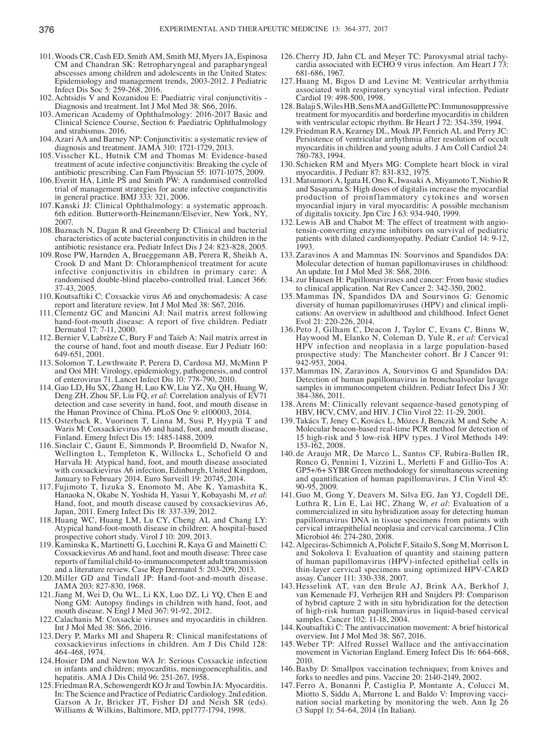- 101.Woods CR, Cash ED, Smith AM, Smith MJ, Myers JA, Espinosa CM and Chandran SK: Retropharyngeal and parapharyngeal abscesses among children and adolescents in the United States: Epidemiology and management trends, 2003-2012. J Pediatric Infect Dis Soc 5: 259-268, 2016.
- 102.Achtsidis V and Kozanidou E: Paediatric viral conjunctivitis ‑ Diagnosis and treatment. Int J Mol Med 38: S66, 2016.
- 103.American Academy of Ophthalmology: 2016-2017 Basic and Clinical Science Course, Section 6: Paediatric Ophthalmology and strabismus. 2016.
- 104.Azari AA and Barney NP: Conjunctivitis: a systematic review of diagnosis and treatment. JAMA 310: 1721-1729, 2013.
- 105.Visscher KL, Hutnik CM and Thomas M: Evidence-based treatment of acute infective conjunctivitis: Breaking the cycle of antibiotic prescribing. Can Fam Physician 55: 1071-1075, 2009.
- 106.Everitt HA, Little PS and Smith PW: A randomised controlled trial of management strategies for acute infective conjunctivitis in general practice. BMJ 333: 321, 2006.
- 107.Kanski JJ: Clinical Ophthalmology: a systematic approach. 6th edition. Butterworth-Heinemann/Elsevier, New York, NY, 2007.
- 108.Buznach N, Dagan R and Greenberg D: Clinical and bacterial characteristics of acute bacterial conjunctivitis in children in the antibiotic resistance era. Pediatr Infect Dis J 24: 823-828, 2005.
- 109.Rose PW, Harnden A, Brueggemann AB, Perera R, Sheikh A, Crook D and Mant D: Chloramphenicol treatment for acute infective conjunctivitis in children in primary care: A randomised double-blind placebo-controlled trial. Lancet 366: 37-43, 2005.
- 110. Koutsaftiki C: Coxsackie virus A6 and onychomadesis: A case report and literature review. Int J Mol Med 38: S67, 2016.
- 111. Clementz GC and Mancini AJ: Nail matrix arrest following hand-foot-mouth disease: A report of five children. Pediatr Dermatol 17: 7-11, 2000.
- 112. Bernier V, Labrèze C, Bury F and Taïeb A: Nail matrix arrest in the course of hand, foot and mouth disease. Eur J Pediatr 160: 649-651, 2001.
- 113. Solomon T, Lewthwaite P, Perera D, Cardosa MJ, McMinn P and Ooi MH: Virology, epidemiology, pathogenesis, and control of enterovirus 71. Lancet Infect Dis 10: 778-790, 2010.
- 114. Gao LD, Hu SX, Zhang H, Luo KW, Liu YZ, Xu QH, Huang W, Deng ZH, Zhou SF, Liu FQ, *et al*: Correlation analysis of EV71 detection and case severity in hand, foot, and mouth disease in the Hunan Province of China. PLoS One 9: e100003, 2014.
- 115. Osterback R, Vuorinen T, Linna M, Susi P, Hyypiä T and Waris M: Coxsackievirus A6 and hand, foot, and mouth disease, Finland. Emerg Infect Dis 15: 1485-1488, 2009.
- 116. Sinclair C, Gaunt E, Simmonds P, Broomfield D, Nwafor N, Wellington L, Templeton K, Willocks L, Schofield O and Harvala H: Atypical hand, foot, and mouth disease associated with coxsackievirus A6 infection, Edinburgh, United Kingdom, January to February 2014. Euro Surveill 19: 20745, 2014.
- 117. Fujimoto T, Iizuka S, Enomoto M, Abe K, Yamashita K, Hanaoka N, Okabe N, Yoshida H, Yasui Y, Kobayashi M, *et al*: Hand, foot, and mouth disease caused by coxsackievirus A6, Japan, 2011. Emerg Infect Dis 18: 337-339, 2012.
- 118. Huang WC, Huang LM, Lu CY, Cheng AL and Chang LY: Atypical hand-foot-mouth disease in children: A hospital-based prospective cohort study. Virol J 10: 209, 2013.
- 119. Kaminska K, Martinetti G, Lucchini R, Kaya G and Mainetti C: Coxsackievirus A6 and hand, foot and mouth disease: Three case reports of familial child-to-immunocompetent adult transmission and a literature review. Case Rep Dermatol 5: 203-209, 2013.
- 120.Miller GD and Tindall JP: Hand-foot-and-mouth disease. JAMA 203: 827-830, 1968.
- 121.Jiang M, Wei D, Ou WL, Li KX, Luo DZ, Li YQ, Chen E and Nong GM: Autopsy findings in children with hand, foot, and mouth disease. N Engl J Med 367: 91-92, 2012.
- 122.Calachanis M: Coxsackie viruses and myocarditis in children. Int J Mol Med 38: S66, 2016.
- 123.Dery P, Marks MI and Shapera R: Clinical manifestations of coxsackievirus infections in children. Am J Dis Child 128: 464-468, 1974.
- 124.Hosier DM and Newton WA Jr: Serious Coxsackie infection in infants and children; myocarditis, meningoencephalitis, and hepatitis. AMA J Dis Child 96: 251-267, 1958.
- 125. Friedman RA, Schowengerdt KO Jr and Towbin JA: Myocarditis. In: The Science and Practice of Pediatric Cardiology. 2nd edition. Garson A Jr, Bricker JT, Fisher DJ and Neish SR (eds). Williams & Wilkins, Baltimore, MD, pp1777-1794, 1998.
- 126.Cherry JD, Jahn CL and Meyer TC: Paroxysmal atrial tachycardia associated with ECHO 9 virus infection. Am Heart J 73: 681-686, 1967.
- 127.Huang M, Bigos D and Levine M: Ventricular arrhythmia associated with respiratory syncytial viral infection. Pediatr Cardiol 19: 498-500, 1998.
- 128.Balaji S, Wiles HB, Sens MA and Gillette PC: Immunosuppressive treatment for myocarditis and borderline myocarditis in children with ventricular ectopic rhythm. Br Heart J 72: 354-359, 1994.
- 129. Friedman RA, Kearney DL, Moak JP, Fenrich AL and Perry JC: Persistence of ventricular arrhythmia after resolution of occult myocarditis in children and young adults. J Am Coll Cardiol 24: 780-783, 1994.
- 130. Schieken RM and Myers MG: Complete heart block in viral myocarditis. J Pediatr 87: 831-832, 1975.
- 131.Matsumori A, Igata H, Ono K, Iwasaki A, Miyamoto T, Nishio R and Sasayama S: High doses of digitalis increase the myocardial production of proinflammatory cytokines and worsen myocardial injury in viral myocarditis: A possible mechanism of digitalis toxicity. Jpn Circ J 63: 934-940, 1999.
- 132.Lewis AB and Chabot M: The effect of treatment with angiotensin‑converting enzyme inhibitors on survival of pediatric patients with dilated cardiomyopathy. Pediatr Cardiol 14: 9-12, 1993.
- 133.Zaravinos A and Mammas IN: Sourvinos and Spandidos DA: Molecular detection of human papillomaviruses in childhood: An update. Int J Mol Med 38: S68, 2016.
- 134. zur Hausen H: Papillomaviruses and cancer: From basic studies to clinical application. Nat Rev Cancer 2: 342-350, 2002.
- 135.Mammas IN, Spandidos DA and Sourvinos G: Genomic diversity of human papillomaviruses (HPV) and clinical implications: An overview in adulthood and childhood. Infect Genet Evol 21: 220-226, 2014.
- 136.Peto J, Gilham C, Deacon J, Taylor C, Evans C, Binns W, Haywood M, Elanko N, Coleman D, Yule R, *et al*: Cervical HPV infection and neoplasia in a large population-based prospective study: The Manchester cohort. Br J Cancer 91: 942-953, 2004.
- 137.Mammas IN, Zaravinos A, Sourvinos G and Spandidos DA: Detection of human papillomavirus in bronchoalveolar lavage samples in immunocompetent children. Pediatr Infect Dis J 30: 384-386, 2011.
- 138.Arens M: Clinically relevant sequence-based genotyping of HBV, HCV, CMV, and HIV. J Clin Virol 22: 11-29, 2001.
- 139.Takács T, Jeney C, Kovács L, Mózes J, Benczik M and Sebe A: Molecular beacon-based real-time PCR method for detection of 15 high-risk and 5 low-risk HPV types. J Virol Methods 149: 153-162, 2008.
- 140. de Araujo MR, De Marco L, Santos CF, Rubira-Bullen IR, Ronco G, Pennini I, Vizzini L, Merletti F and Gillio‑Tos A: GP5+/6+ SYBR Green methodology for simultaneous screening and quantification of human papillomavirus. J Clin Virol 45: 90-95, 2009.
- 141.Guo M, Gong Y, Deavers M, Silva EG, Jan YJ, Cogdell DE, Luthra R, Lin E, Lai HC, Zhang W, *et al*: Evaluation of a commercialized in situ hybridization assay for detecting human papillomavirus DNA in tissue specimens from patients with cervical intraepithelial neoplasia and cervical carcinoma. J Clin Microbiol 46: 274-280, 2008.
- 142.Algeciras-Schimnich A, Policht F, Sitailo S, Song M, Morrison L and Sokolova I: Evaluation of quantity and staining pattern of human papillomavirus (HPV)-infected epithelial cells in thin-layer cervical specimens using optimized HPV-CARD assay. Cancer 111: 330-338, 2007.
- 143.Hesselink AT, van den Brule AJ, Brink AA, Berkhof J, van Kemenade FJ, Verheijen RH and Snijders PJ: Comparison of hybrid capture 2 with in situ hybridization for the detection of high-risk human papillomavirus in liquid-based cervical samples. Cancer 102: 11-18, 2004.
- 144.Koutsaftiki C: The antivaccination movement: A brief historical overview. Int J Mol Med 38: S67, 2016.
- 145.Weber TP: Alfred Russel Wallace and the antivaccination movement in Victorian England. Emerg Infect Dis 16: 664-668, 2010.
- 146.Baxby D: Smallpox vaccination techniques; from knives and forks to needles and pins. Vaccine 20: 2140-2149, 2002.
- 147. Ferro A, Bonanni P, Castiglia P, Montante A, Colucci M, Miotto S, Siddu A, Murrone L and Baldo V: Improving vaccination social marketing by monitoring the web. Ann Ig 26 (3 Suppl 1): 54-64, 2014 (In Italian).